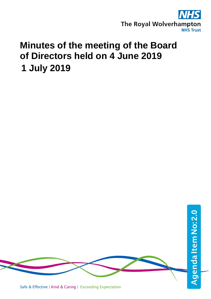

# **Minutes of the meeting of the Board of Directors held on 4 June 2019 1 July 2019**

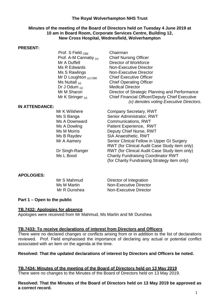## **The Royal Wolverhampton NHS Trust**

## **Minutes of the meeting of the Board of Directors held on Tuesday 4 June 2019 at 10 am in Board Room, Corporate Services Centre, Building 12, New Cross Hospital, Wednesfield, Wolverhampton**

#### **PRESENT:**

Prof. S Field <sub>CBE</sub> Chairman<br>Prof. A-M Cannaby <sub>(v)</sub> Chief Nursing Officer Prof. A-M Cannaby  $(v)$ <br>Mr A Duffell Mr A Duffell **Director of Workforce**<br>
Ms R Edwards **Communist Contract Angle Contract Contract A** Ms R Edwards<br>
Ms S Rawlings<br>
Mon-Executive Director<br>
Non-Executive Director Mr D Loughton  $_{(v) \text{ CBE}}$  Chief Executive Officer<br>Ms Nuttall  $_{(v)}$  Chief Operating Officer Dr J Odum  $_{(v)}$ <br>Mr M Sharon Mr K Stringer  $\omega$  Chief Financial Officer/Deputy Chief Executive

#### **IN ATTENDANCE:**

Mr K Wilshere **Company Secretary, RWT** Ms S Banga Senior Administrator, RWT Ms A Downward Communications, RWT Ms A Dowling **Natient Experience, RWT**<br>Ms M Morris **National Deputy Chief Nurse, RWT** Ms M Morris **Deputy Chief Nurse, RWT**<br>Ms B Raydev **Manual SIA Anaesthetic, RWT** SIA Anaesthetic, RWT Mr A Aamery Senior Clinical Fellow in Upper GI Surgery RWT (for Clinical Audit Case Study item only) Dr Singh-Ranger RWT (for Clinical Audit Case Study item only)<br>
Ms L Bood Charity Fundraising Coordinator RWT **Charity Fundraising Coordinator RWT** (for Charity Fundraising Strategy item only)

Non-Executive Director

Chief Operating Officer<br>Medical Director

Director of Strategic Planning and Performance

*(v) denotes voting Executive Directors.*

## **APOLOGIES:**

Mr S Mahmud **Director of Integration**<br>
Ms M Martin **Non-Executive Directo** Non-Executive Director Mr R Dunshea Non-Executive Director

## **Part 1 – Open to the public**

## **TB.7432: Apologies for absence**

Apologies were received from Mr Mahmud, Ms Martin and Mr Dunshea

## **TB.7433: To receive declarations of interest from Directors and Officers**

There were no declared changes or conflicts arising from or in addition to the list of declarations reviewed. Prof. Field emphasised the importance of declaring any actual or potential conflict associated with an item on the agenda at the time.

## **Resolved: That the updated declarations of interest by Directors and Officers be noted.**

**TB.7434: Minutes of the meeting of the Board of Directors held on 13 May 2019** There were no changes to the Minutes of the Board of Directors held on 13 May 2019.

## **Resolved: That the Minutes of the Board of Directors held on 13 May 2019 be approved as a correct record.**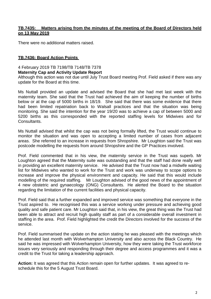## **TB.7435: Matters arising from the minutes of the meeting of the Board of Directors held on 13 May 2019**

There were no additional matters raised.

## **TB.7436: Board Action Points**

## 4 February 2019 TB 7198/TB 7148/TB 7378

#### **Maternity Cap and Activity Update Report**

Although this action was not due until July Trust Board meeting Prof. Field asked if there was any update for the Board at this time.

Ms Nuttall provided an update and advised the Board that she had met last week with the maternity team. She said that the Trust had achieved the aim of keeping the number of births below or at the cap of 5000 births in 18/19. She said that there was some evidence that there had been limited repatriation back to Walsall practices and that the situation was being monitoring. She said the intention for the year 19/20 was to achieve a cap of between 5000 and 5200 births as this corresponded with the reported staffing levels for Midwives and for Consultants.

Ms Nuttall advised that whilst the cap was not being formally lifted, the Trust would continue to monitor the situation and was open to accepting a limited number of cases from adjacent areas. She referred to an increase in requests from Shropshire. Mr Loughton said the Trust was postcode modelling the requests from around Shropshire and the GP Practices involved.

Prof. Field commented that in his view, the maternity service in the Trust was superb. Mr Loughton agreed that the Maternity suite was outstanding and that the staff had done really well in providing an excellent maternity service. He advised that the Trust now had a midwife waiting list for Midwives who wanted to work for the Trust and work was underway to scope options to increase and improve the physical environment and capacity. He said that this would include modelling of the required staffing. Mr Loughton advised of the good news of the appointment of 4 new obstetric and gynaecology (ONG) Consultants. He alerted the Board to the situation regarding the limitation of the current facilities and physical capacity.

Prof. Field said that a further expanded and improved service was something that everyone in the Trust aspired to. He recognised this was a service working under pressure and achieving good quality and safe patient care. Mr Loughton said that, in his view, the great thing was the Trust had been able to attract and recruit high quality staff as part of a considerable overall investment in staffing in the area. Prof. Field highlighted the credit the Directors involved for the success of the service.

Prof. Field summarised the update on the action stating he was pleased with the meetings which he attended last month with Wolverhampton University and also across the Black Country. He said he was impressed with Wolverhampton University, how they were taking the Trust workforce issues very seriously and responding through their degree and access programmes and it was a credit to the Trust for taking a leadership approach.

Action: It was agreed that this Action remain open for further updates. It was agreed to reschedule this for the 5 August Trust Board.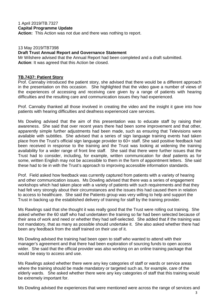## 1 April 2019/TB.7327 **Capital Programme Update**

**Action:** This Action was not due and there was nothing to report.

#### 13 May 2019/TB7398

#### **Draft Trust Annual Report and Governance Statement**

Mr Wilshere advised that the Annual Report had been completed and a draft submitted. **Action**: It was agreed that this Action be closed.

#### **TB.7437: Patient Story**

Prof. Cannaby introduced the patient story, she advised that there would be a different approach in the presentation on this occasion. She highlighted that the video gave a number of views of the experiences of accessing and receiving care given by a range of patients with hearing difficulties and the resulting care and communication issues they had experienced.

Prof. Cannaby thanked all those involved in creating the video and the insight it gave into how patients with hearing difficulties and deafness experienced care services.

Ms Dowling advised that the aim of this presentation was to educate staff by raising their awareness. She said that over recent years there had been some improvement and that other, apparently simple further adjustments had been made, such as ensuring that Televisions were available with subtitles. She advised that a series of sign language training events had taken place from the Trust's official sign language provider to 60+ staff. She said positive feedback had been received in response to the training and the Trust was looking at widening the training availability for a wider range of front line staff. She said that there were further issues that the Trust had to consider, including, for example, written communication for deaf patients as for some, written English may not be accessible to them in the form of appointment letters. She said these had to tie in with the Trust's approach to improving accessible information standards.

Prof. Field asked how feedback was currently captured from patients with a variety of hearing and other communication issues. Ms Dowling advised that there was a series of engagement workshops which had taken place with a variety of patients with such requirements and that they had felt very strongly about their circumstances and the issues this had caused them in relation to access to healthcare. She said the Patients group was very willing to help and support the Trust in backing up the established delivery of training for staff by the training provider.

Ms Rawlings said that she thought it was really good that the Trust were rolling out training. She asked whether the 60 staff who had undertaken the training so far had been selected because of their area of work and need or whether they had self-selected. She added that if the training was not mandatory, that as many as possible should undertake it. She also asked whether there had been any feedback from the staff trained on their use of it.

Ms Dowling advised the training had been open to staff who wanted to attend with their manager's agreement and that there had been exploration of sourcing funds to open access wider. She said that the official provider was also working on an online training package that would be easy to access and use.

Ms Rawlings asked whether there were any key categories of staff or wards or service areas where the training should be made mandatory or targeted such as, for example, care of the elderly wards. She asked whether there were any key categories of staff that this training would be extremely important for.

Ms Dowling advised the experiences that were mentioned were across the range of services and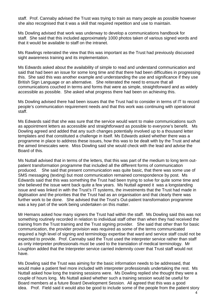staff. Prof. Cannaby advised the Trust was trying to train as many people as possible however she also recognised that it was a skill that required repetition and use to maintain.

Ms Dowling advised that work was underway to develop a communications handbook for staff. She said that this included approximately 1000 photos taken of various signed words and that it would be available to staff on the intranet.

Ms Rawlings reiterated the view that this was important as the Trust had previously discussed sight awareness training and its implementation.

Ms Edwards asked about the availability of simple to read and understand communication and said that had been an issue for some long time and that there had been difficulties in progressing this. She said this was another example and understanding the use and significance if they use British Sign Language or an alternative. She reiterated the need to ensure that all communications couched in terms and forms that were as simple, straightforward and as widely accessible as possible. She asked what progress there had been on achieving this.

Ms Dowling advised there had been issues that the Trust had to consider in terms of IT to record people's communication requirement needs and that this work was continuing with operational staff.

Ms Edwards said that she was sure that the service would want to make communications such as appointment letters as accessible and straightforward as possible to everyone's benefit. Ms Dowling agreed and added that any such changes potentially involved up to a thousand letter templates and that constituted a challenge in itself. Ms Edwards asked whether there was a programme in place to address these issues, how this was to be dealt with by the Trust and what the aimed timescales were. Miss Dowling said she would check with the lead and advise the Board of this.

Ms Nuttall advised that in terms of the letters, that this was part of the medium to long term outpatient transformation programme that included all the different forms of communication produced. She said that present communication was quite basic, that there was some use of SMS messaging (texting) but most communication remained correspondence by post. Ms Edwards said that this was something the Trust had been trying to solve for quite some time and she believed the issue went back quite a few years. Ms Nuttall agreed it was a longstanding issue and was linked in with the Trust's IT systems, the investments that the Trust had made in digitisation and the priorities that the Trust had as an organisation and that clearly there was further work to be done. She advised that the Trust's Out-patient transformation programme was a key part of the work being undertaken on this matter.

Mr Hemans asked how many signers the Trust had within the staff. Ms Dowling said this was not something routinely recorded in relation to individual staff other than when they had received the training from the Trust training and the Trust signing provider. She said that other than for basic communication, the provider provision was required as some of the terms communicated required a high level of signing and terminology expertise that ward and service staff could not be expected to provide. Prof. Cannaby said the Trust used the interpreter service rather than staff as only interpreter professionals must be used to the translation of medical terminology. Mr Loughton added that the Interpreter service carried indemnity cover that Trust staff would not have.

Ms Dowling said the Trust was aiming for the basic information needs to be addressed, that would make a patient feel more included with interpreter professionals undertaking the rest. Ms Nuttall asked how long the training sessions were. Ms Dowling replied she thought they were a couple of hours long. Ms Nuttall asked whether such a training session would be useful for Board members at a future Board Development Session. All agreed that this was a good idea. Prof. Field said it would also be good to include some of the people from the patient story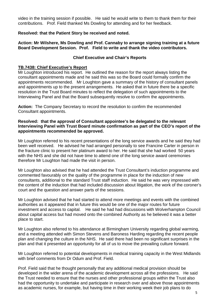video in the training session if possible. He said he would write to them to thank them for their contributions. Prof. Field thanked Ms Dowling for attending and for her feedback.

## **Resolved: that the Patient Story be received and noted.**

#### **Action: Mr Wilshere, Ms Dowling and Prof. Cannaby to arrange signing training at a future Board Development Session. Prof. Field to write and thank the video contributors.**

## **Chief Executive and Chair's Reports**

## **TB.7438: Chief Executive's Report**

Mr Loughton introduced his report. He outlined the reason for the report always listing the consultant appointments made and he said this was so the Board could formally confirm the appointments recommended. Mr Loughton gave a summary of the history of consultant panels and appointments up to the present arrangements. He asked that in future there be a specific resolution in the Trust Board minutes to reflect the delegation of such appointments to the Interviewing Panel and that the Board subsequently resolve to confirm the appointments.

**Action:** The Company Secretary to record the resolution to confirm the recommended Consultant appointments.

## **Resolved: that the approval of Consultant appointee's be delegated to the relevant Interviewing Panel with Trust Board minute confirmation as part of the CEO's report of the appointments recommended be approved.**

Mr Loughton referred to his recent presentations of the long service awards and he said they had been well received. He advised he had arranged personally to see Francine Carter in person in the fracture clinic to present her platinum award to her. He said that she had worked 50 years with the NHS and she did not have time to attend one of the long service award ceremonies therefore Mr Loughton had made the visit in person.

Mr Loughton also advised that he had attended the Trust Consultant's induction programme and commented favourably on the quality of the programme in place for the induction of new consultants, additional to the standard Trust staff induction. He said he was very impressed with the content of the induction that had included discussion about litigation, the work of the coroner's court and the question and answer parts of the sessions.

Mr Loughton advised that he had started to attend more meetings and events with the combined authorities as it appeared that in future this would be one of the major routes for future investment and access to capital. He said he had had discussions with Wolverhampton Council about capital access but had moved onto the combined Authority as he believed it was a better place to start.

Mr Loughton also referred to his attendance at Birmingham University regarding global warming, and a meeting attended with Simon Stevens and Baroness Harding regarding the recent people plan and changing the culture in the NHS. He said there had been no significant surprises in the plan and that it presented an opportunity for all of us to move the prevailing culture forward.

Mr Loughton referred to potential developments in medical training capacity in the West Midlands with brief comments from Dr Odum and Prof. Field.

Prof. Field said that he thought personally that any additional medical provision should be developed in the wider arena of the academic development across all the professions. He said the Trust needed to ensure that the nurses and other professional groups within the Trust also had the opportunity to undertake and participate in research over and above those appointments as academic nurses, for example, but having time in their working week their job plans to do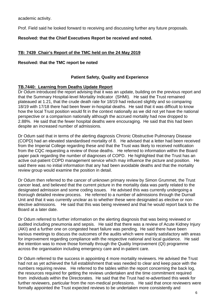academic activity.

Prof. Field said he looked forward to receiving and discussing further any future proposals.

**Resolved: that the Chief Executives Report be received and noted.**

## **TB: 7439 Chair's Report of the TMC held on the 24 May 2019**

## **Resolved: that the TMC report be noted**

## **Patient Safety, Quality and Experience**

## **TB.7440: Learning from Deaths Update Report**

Dr Odum introduced the report advising that it was an update, building on the previous report and that the Summary Hospital-level Mortality Indicator (SHMI). He said the Trust remained plateaued at 1.21, that the crude death rate for 18/19 had reduced slightly and so comparing 18/19 with 17/18 there had been fewer in-hospital deaths. He said that it was difficult to know how the local Trust position would fit in the context nationally as we did not yet have the national perspective or a comparison nationally although the accrued mortality had now dropped to 2.88%. He said that the fewer hospital deaths were encouraging. He said that this had been despite an increased number of admissions.

Dr Odum said that in terms of the alerting diagnosis Chronic Obstructive Pulmonary Disease (COPD) had an elevated standardised mortality of 8. He advised that a letter had been received from the Imperial College regarding these and that the Trust was likely to received notification from the CQC requesting a review of those deaths. He referred to information within the Board paper pack regarding the number of diagnoses of COPD. He highlighted that the Trust has an active out-patient COPD management service which may influence the picture and position. He said there was no initial information that any had been avoidable deaths and that the mortality review group would examine the position in detail.

Dr Odum then referred to the cancer of unknown primary review by Simon Grummet, the Trust cancer lead, and believed that the current picture in the mortality data was partly related to the designated admission and some coding issues. He advised this was currently undergoing a thorough detailed review process. He referred to a number of admissions through the Durnall Unit and that it was currently unclear as to whether these were designated as elective or nonelective admissions. He said that this was being reviewed and that he would report back to the Board at a later date.

Dr Odum referred to further information on the alerting diagnosis that was being reviewed or audited including pneumonia and sepsis. He said that there was a review of Acute Kidney Injury (AKI) and a further one on congested heart failure was pending. He said there have been various meetings to discuss the outcomes of the audits which were mainly satisfactory with areas for improvement regarding compliance with the respective national and local guidance. He said the intention was to move those formally through the Quality Improvement (QI) programme across the organisation including emergency care and in-patient care.

Dr Odum referred to the success in appointing 4 more mortality reviewers. He advised the Trust had not as yet achieved the full establishment that was needed to clear and keep pace with the numbers requiring review. He referred to the tables within the report concerning the back log, the resources required for getting the reviews undertaken and the time commitment required from individuals within the Directorates. He said that the Trust had re-advertised this week for further reviewers, particular from the non-medical professions. He said that once reviewers were formally appointed the Trust expected reviews to be undertaken more consistently and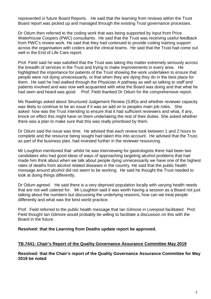represented in future Board Reports. He said that the learning from reviews within the Trust Board report was picked up and managed through the existing Trust governance processes.

Dr Odum then referred to the coding work that was being supported by input from Price Waterhouse Coopers (PWC) consultants. He said that the Trust was receiving useful feedback from PWC's review work. He said that they had continued to provide coding training support across the organisation with coders and the clinical teams. He said that the Trust had come out well in the End of Life Care report.

Prof. Field said he was satisfied that the Trust was taking this matter extremely seriously across the breadth of services in the Trust and trying to make improvements in every area. He highlighted the importance for patients of the Trust showing the work undertaken to ensure that people were not dying unnecessarily, or that when they are dying they do in the best place for them. He said he had walked through the Physician A pathway as well as talking to staff and patients involved and was now well acquainted with what the Board was doing and that what he had seen and heard was good. Prof. Field thanked Dr Odum for the comprehensive report.

Ms Rawlings asked about Structured Judgement Review (SJR)s and whether reviewer capacity was likely to continue to be an issue if it was an add on to peoples main job roles. She asked how was the Trust intending to ensure that it had sufficient reviewers and what, if any, knock on effect this might have on them undertaking the rest of their duties. She asked whether there was a plan to make sure that this was really prioritised by them.

Dr Odum said the issue was time. He advised that each review took between 1 and 2 hours to complete and the resource being sought had taken this into account. He advised that the Trust, as part of the business plan, had invested further in the reviewer resourcing.

Mr Loughton mentioned that whilst he was interviewing for gastrologists there had been two candidates who had good ideas of ways of approaching targeting alcohol problems that had made him think about when we talk about people dying unnecessarily we have one of the highest rates of deaths from alcohol related diseases in the country. He said that the public health message around alcohol did not seem to be working. He said he thought the Trust needed to look at doing things differently.

Dr Odum agreed. He said there is a very deprived population locally with varying health needs that are not well catered for. Mr Loughton said it was worth having a session as a Board not just talking about the numbers but discussing the underlying reasons, how can we treat people differently and what was the best world practice.

Prof. Field referred to the public health message that Ian Gilmore in Liverpool facilitated Prof. Field thought Ian Gilmore would probably be willing to facilitate a discussion on this with the Board in the future.

**Resolved: that the Learning from Deaths update report be approved.**

## **TB.7441: Chair's Report of the Quality Governance Assurance Committee May 2019**

**Resolved: that the Chair's report of the Quality Governance Assurance Committee for May 2019 be noted**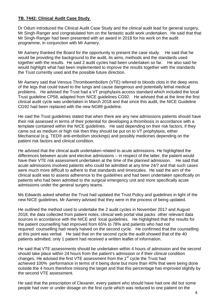## **TB. 7442: Clinical Audit Case Study**

Dr Odum introduced the Clinical Audit Case Study and the clinical audit lead for general surgery, Mr Singh-Ranger and congratulated him on the fantastic audit work undertaken. He said that that Mr Singh-Ranger had been presented with an award in 2018 for his work on the audit programme, in conjunction with Mr Aamery.

Mr Aamery thanked the Board for the opportunity to present the case study. He said that he would be providing the background to the audit, its aims, methods and the standards used together with the results. He said 2 audit cycles had been undertaken so far. He also said he would highlight what had been implemented to improve the results together with the standards the Trust currently used and the possible future direction.

Mr Aamery said that Venous Thromboembolism (VTE) referred to bloods clots in the deep veins of the legs that could travel to the lungs and cause dangerous and potentially lethal medical problems. He advised the Trust had a VT prophylaxis access standard which included the local Trust guideline CP58, adapted from NICE guidelines CG92. He advised that at the time the first clinical audit cycle was undertaken in March 2018 and that since this audit, the NICE Guideline CG92 had been replaced with the new NG89 guideline.

He said the Trust guidelines stated that when there are any new admissions patients should have their risk assessed in terms of their potential for developing a thrombosis in accordance with a template contained within the NICE guidelines. He said depending on their risk factors, if they came out as medium or high risk then they should be put on to VT prophylaxis, either Mechanical (e.g. TED® anti-embolism stockings) and possibly medicines depending on the patient risk factors and clinical condition.

He advised that the clinical audit undertaken related to acute admissions. He highlighted the differences between acute and elective admissions – in respect of the latter, the patient would have their VTE risk assessment undertaken at the time of the planned admission. He said that acute admissions involved patients who could be admitted at any time 24/7 and that such cases were much more difficult to adhere to that standards and timescales. He said the aim of the clinical audit was to assess adherence to the guidelines and had been undertaken specifically on patients who had been admitted to the surgical emergency unit and more specifically acute admissions under the general surgery teams.

Ms Edwards asked whether the Trust had updated the Trust Policy and guidelines in light of the new NICE guidelines. Mr Aamery advised that they were in the process of being updated.

He outlined the method used to undertake the 2 audit cycles in November 2017 and August 2018, the data collected from patient notes, clinical web portal vital packs other relevant data sources in accordance with the NICE and local guidelines. He highlighted that the results for the patient counselling had improved from 65% to 78% and patients who had not required counselling had nearly halved on the second cycle. He confirmed that the counselling at this point was verbal. He said that on the second cycle the audit showed that of the 40 patients admitted, only 1 patient had received a written leaflet of information.

He said that VTE assessments should be undertaken within 4 hours of admission and the second should take place within 24 hours from the patient's admission or if their clinical condition changes. He advised the first VTE assessment from the  $1<sup>st</sup>$  cycle the Trust had achieved 100% performance in terms of it being done but more than 40% that were being done outside the 4 hours therefore missing the target and that this percentage has improved slightly by the second VTE assessment.

He said that the prescription of Clexaner, every patient who should have had one did but some people had over or under dosage on the first cycle which was reduced to one patient on the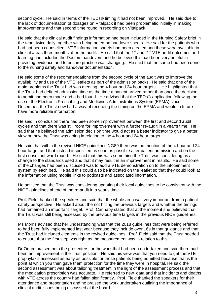second cycle. He said in terms of the TEDs® timing it had not been improved. He said due to the lack of documentation of dosages on Vitalpack it had been problematic initially in making improvements and that second time round in recording on Vitalpack.

He said that the clinical audit findings information had been included in the Nursing Safety brief in the team twice daily together with being noted on handover sheets. He said for the patients who had not been counselled, VTE information sheets had been created and these were available in clinical areas three months after the audit. He said that the 1<sup>st</sup> and 2<sup>nd</sup> VTE audit outcomes and learning had included the Doctors handovers and he believed this had been very helpful in providing evidence and to ensure practice was changing. He said that the same had been done to the nursing safety and handover documentation.

He said some of the recommendations from the second cycle of the audit was to improve the availability and use of the VTE leaflets as part of the admission packs. He said that one of the main problems the Trust had was meeting the 4 hour and 24 hour targets. He highlighted that the Trust had defined admission time as the time a patient arrived rather than once the decision to admit had been made and a bed found. He advised that the TEDs® application following the use of the Electronic Prescribing and Medicines Administrations System (EPMA) since December, the Trust now had a way of recording the timing on the EPMA and would in future have more reliable information.

He said in conclusion there had been some improvement between the first and second audit cycles and that there was still room for improvement with a further re-audit in a year's time. He said that he believed the admission decision time would act as a better indicator to give a better view on how the Trust was doing in relation to the 4 hour and 24 hour target.

He said that within the revised NICE guidelines NG89 there was no mention of the 4 hour and 24 hour target and that instead it specified as soon as possible after patient admission and on the first consultant ward round. He said that this was something the Trust was considering as a change to the standards used and that it may result in an improvement in results. He said some of the changes had been discussed was to add a VTE demonstration on to the infotainment system by each bed. He said this could also be indicated on the leaflet so that they could look at the information using mobile links to podcasts and associated information.

He advised that the Trust was considering updating their local guidelines to be consistent with the NICE guidelines ahead of the re-audit in a year's time.

Prof. Field thanked the speakers and said that the whole area was very important from a patient safety perspective. He asked about the not hitting the previous targets and whether the timings had remained an important target. Prof. Cannaby stated that at the moment she believed that the Trust was still being assessed by the previous time targets in the previous NICE guidelines.

Ms Morris advised that her understanding was that the 2018 guidelines that were being referred to had been fully implemented last year because they include over 16s in that guidance and that the Trust had included elements in the revised guidelines. Prof. Field said that the Trust needed to ensure that the first step was right as the measurement was in relation to this.

Dr Odum praised both the presenters for the work that had been undertaken and said there had been an improvement in the Trust position. He said his view was that you need to get the VTE prophylaxis assessed as early as possible for those patients being admitted because that is the point at which you then gave them protection for the time they were in hospital. He said the second assessment was about tailoring treatment in the light of the assessment process and that the medication prescription was accurate. He referred to new data and that incidents and deaths with VTE across the country had fallen significantly. Prof. Field thanked the speakers for their attendance and presentation and he praised the work undertaken outlining the importance of clinical audit issues being discussed at the board.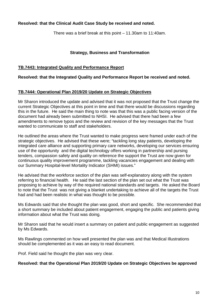## **Resolved: that the Clinical Audit Case Study be received and noted.**

There was a brief break at this point – 11.30am to 11:40am.

## **Strategy, Business and Transformation**

## **TB.7443: Integrated Quality and Performance Report**

## **Resolved: that the Integrated Quality and Performance Report be received and noted.**

## **TB.7444: Operational Plan 2019/20 Update on Strategic Objectives**

Mr Sharon introduced the update and advised that it was not proposed that the Trust change the current Strategic Objectives at this point in time and that there would be discussions regarding this in the future. He said the main thing to note was that this was a public facing version of the document had already been submitted to NHSI. He advised that there had been a few amendments to remove typos and the review and revision of the key messages that the Trust wanted to communicate to staff and stakeholders.

He outlined the areas where the Trust wanted to make progress were framed under each of the strategic objectives. He advised that these were; "tackling long stay patients, developing the integrated care alliance and supporting primary care networks, developing our services ensuring use of the opportunity and the digital technology offers working in partnership and pursing tenders, compassion safety and quality on reference the support the Trust are now given for continuous quality improvement programme, tackling vacancies engagement and dealing with our Summary Hospital-level Mortality Indicator (SHMI) issues."

He advised that the workforce section of the plan was self-explanatory along with the system referring to financial health. He said the last section of the plan set out what the Trust was proposing to achieve by way of the required national standards and targets. He asked the Board to note that the Trust was not giving a blanket undertaking to achieve all of the targets the Trust had and had been realistic in what was thought to be possible.

Ms Edwards said that she thought the plan was good, short and specific. She recommended that a short summary be included about patient engagement, engaging the public and patients giving information about what the Trust was doing.

Mr Sharon said that he would insert a summary on patient and public engagement as suggested by Ms Edwards.

Ms Rawlings commented on how well presented the plan was and that Medical Illustrations should be complemented as it was an easy to read document.

Prof. Field said he thought the plan was very clear.

## **Resolved: that the Operational Plan 2019/20 Update on Strategic Objectives be approved**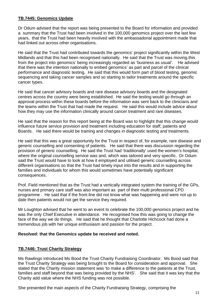## **TB.7445: Genomics Update**

Dr Odum advised that the report was being presented to the Board for information and provided a summary that the Trust had been involved in the 100,000 genomics project over the last few years, that the Trust had been heavily involved with the ambassadorial appointment made that had linked out across other organisations.

He said that the Trust had contributed towards the genomics' project significantly within the West Midlands and that this had been recognised nationally. He said that the Trust was moving this from the project into genomics' being increasingly regarded as 'business as usual'. He advised that there was the intention nationally to embed genomics' as part and parcel of the clinical performance and diagnostic testing. He said that this would form part of blood testing, genomic sequencing and taking cancer samples and so starting to tailor treatments around the specific cancer types.

He said that cancer advisory boards and rare disease advisory boards and the designated centres across the country were being established. He said the testing would go through an approval process within these boards before the information was sent back to the clinicians and the teams within the Trust that had made the request. He said this would include advice about how they may use the information clinically around cancer treatment and rare diseases.

He said that the reason for this report being at the Board was to highlight that this change would influence future service provision and treatment including education for staff, patients and Boards. He said there would be training and changes in diagnostic testing and treatments.

He said that this was a great opportunity for the Trust in respect of, for example, rare disease and generic counselling and consenting of patients. He said that there was discussion regarding the provision of generic counselling. He said the Trust had 'traditionally' used the women's hospital, where the original counselling service was and, which was tailored and very specific. Dr Odum said the Trust would have to look at how it employed and utilised generic counselling across different organisations so that the Trust had timely input into the results and in supporting the families and individuals for whom this would sometimes have potentially significant consequences.

Prof. Field mentioned that as the Trust had a vertically integrated system the training of the GPs, nurses and primary care staff was also important as part of their multi professional CPD programme . He said that if the front line did not know what was happening and were not up to date then patients would not get the service they required.

Mr Loughton advised that he went to an event to celebrate the 100,000 genomics project and he was the only Chief Executive in attendance. He recognised how this was going to change the face of the way we do things. He said that he thought that Charlotte Hichcock had done a tremendous job with her unique enthusiasm and passion for the project.

## **Resolved: that the Genomics update be received and noted.**

## **TB.7446: Trust Charity Strategy**

Ms Rawlings introduced Ms Bood the Trust Charity Fundraising Coordinator. Ms Bood said that the Trust Charity Strategy was being brought to the Board for consideration and approval. She stated that the Charity mission statement was 'to make a difference to the patients at the Trust, families and staff beyond that was being provided by the NHS'. She said that it was key that the Charity add value where the NHS funding was not possible.

She presented the main aspects of the Charity Fundraising Strategy, comprising the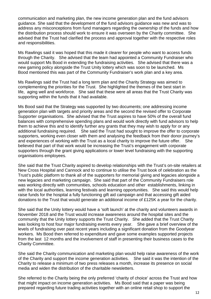communication and marketing plan, the new income generation plan and the fund advisors guidance. She said that the development of the fund advisors guidance was new and was to address any misconceptions from fund managers regarding the ownership of the funds and how the distribution process should work to ensure it was overseen by the Charity committee. She advised that the Trust had clarified the process and approval together with the respective roles and responsibilities.

Ms Rawlings said it was hoped that this made it clearer for people who want to access funds through the Charity. She advised that the team had appointed a Community Fundraiser who would support Ms Bood in extending the fundraising activities. She advised that there was a new gaming policy alongside the Trust Unity lottery which was soon to be launched. Ms Bood mentioned this was part of the Community Fundraiser's work plan and a key area.

Ms Rawlings said the Trust had a long term plan and the Charity Strategy was aimed to complementing the priorities for the Trust. She highlighted the themes of the best start in life, aging well and workforce. She said that these were all areas that the Trust Charity was supporting within the funds that it had available.

Ms Bood said that the Strategy was supported by two documents; one addressing income generation plan with targets and priority areas and the second the revised offer to Corporate Supporter organisations. She advised that the Trust aspires to have 50% of the overall fund balances with comprehensive spending plans and would work directly with fund advisors to help them to achieve this and to identify further any grants that they may wish to apply for or any additional fundraising required. She said the Trust had sought to improve the offer to corporate supporters, working even closer with them and analysing the feedback from their donor journey's and experiences of working with the Trust as a local charity to improve the future offer. She believed that part of that work would be increasing the Trust's engagement with corporate supporters through the grant giving applications or lower level fundraising with the supporting organisations employees.

She said that the Trust Charity aspired to develop relationships with the Trust's on-site retailers at New Cross Hospital and Cannock and to continue to utilise the Trust book of celebration as the Trust's public platform to thank all of the supporters for memorial giving and legacies alongside a new legacies and marketing campaign. She said that part of the Community Fundraisers role was working directly with communities, schools education and other establishments, linking in with the local authorities, learning festivals and learning opportunities. She said this would help raise funds for the hospital a fully functioning gift aid campaign and that accessing gift aided donations to the Trust that would generate an additional income of £125K a year for the charity.

She said that the Unity lottery would have a 'soft launch' at the charity and volunteers awards in November 2018 and the Trust would increase awareness around the hospital sites and the community that the Unity lottery supports the Trust Charity. She added that the Trust Charity was looking to host four major fundraising events every year. She gave a brief overview of the levels of fundraising over past recent years including a significant donation from the Goodyear workers. Ms Bood then referred to expenditure and gave some examples supported projects from the last 12 months and the involvement of staff in presenting their business cases to the Charity Committee.

She said the Charity communication and marketing plan would help raise awareness of the work of the Charity and support the income generation activities. She said it was the intention of the Charity to release a minimum of two press releases a month, increase its presence on social media and widen the distribution of the charitable newsletters.

She referred to the Charity being the only preferred 'charity of choice' across the Trust and how that might impact on income generation activities. Ms Bood said that a paper was being prepared regarding future trading activities together with an online retail shop to support the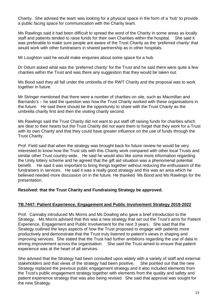Charity. She advised the team was looking for a physical space in the form of a 'hub' to provide a public facing space for communication with the Charity team.

Ms Rawlings said it had been difficult to spread the word of the Charity in some areas as locally staff and patients tended to raise funds for their own Charities within the hospital. She said it was preferable to make sure people are aware of the Trust Charity as the 'preferred charity' that would work with other fundraisers in shared partnership as in other hospitals.

Mr Loughton said he would make enquiries about some space for a hub.

Dr Odum asked what was the 'preferred charity' for the Trust and he said there were quite a few charities within the Trust and was there any suggestion that they would be taken out.

Ms Bood said they all fall under the umbrella of the RWT Charity and the proposal was to work together in future.

Mr Stringer mentioned that there were a number of charities on site, such as Macmillan and Barnardo's – he said the question was how the Trust Charity worked with these organisations in the future. He said there should be the opportunity to share with the Trust Charity as the umbrella charity first and then the visiting charity second.

Ms Rawlings said the Trust Charity did not want to put staff off raising funds for charities which are dear to their hearts but the Trust Charity did not want them to forget that they work for a Trust with its own Charity and that they could have greater influence on the use of funds through the Trust Charity.

Prof. Field said that when the strategy was brought back for future review he would be very interested to know how the Trust sits with this Charity work compared with other local Trusts and similar other Trust country-wide. He said he would also like some more information regarding the Unity lottery scheme and he agreed that the gift aid situation was a phenomenal potential benefit. He said it was important to bring things together without reducing the enthusiasm of the fundraisers in services. He said it was a really good strategy and this was an area which he believed needed more discussion on in the future. He thanked Ms Bood and Ms Rawlings for the presentation.

## **Resolved: that the Trust Charity and Fundraising Strategy be approved.**

## **TB.7447: Patient Experience, Engagement and Public Involvement Strategy 2019-2022**

Prof. Cannaby introduced Ms Morris and Ms Dowling who gave a brief introduction to the Strategy. Ms Morris advised that this was a new strategy that set out the Trust's aims for Patient Experience, Engagement and Public Involvement for the next 3 years. She said that the Strategy outlined the keys aspects of how the Trust proposed to engage with patients more productively and demonstrate that the Trust truly listened to patient's views in shaping and improving services. She stated that the Trust had further ambitions regarding the use of data in driving improvement across the organisation. She said the Trust aimed to ensure that patient experience was at the heart of all services.

She advised that the Strategy had been consulted upon widely with a variety of staff and external stakeholders and that views of the strategy had been positive. She pointed out that the new Strategy replaced the previous public engagement strategy and it also included elements from the Trust's public engagement strategy together with elements from the quality and safety and patient experience strategy that was also being revised. She said that approval was sought for the new Strategy.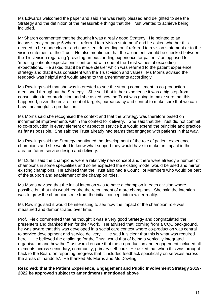Ms Edwards welcomed the paper and said she was really pleased and delighted to see the Strategy and the definition of the measurable things that the Trust wanted to achieve being included.

Mr Sharon commented that he thought it was a really good Strategy. He pointed to an inconsistency on page 5 where it referred to a 'vision statement' and he asked whether this needed to be made clearer and consistent depending on if referred to a vision statement or to the vision statement of the Trust. He also mentioned that the alignment should be checked between the Trust vision regarding 'providing an outstanding experience for patients' as opposed to 'meeting patients expectations' contrasted with one of the Trust values of exceeding expectations. He asked that it be made clearer which was referred to the patient experience strategy and that it was consistent with the Trust vision and values. Ms Morris advised the feedback was helpful and would attend to the amendments accordingly.

Ms Rawlings said that she was interested to see the strong commitment to co-production mentioned throughout the Strategy. She said that in her experience it was a big step from consultation to co-production and she asked how the Trust was going to make sure that this happened, given the environment of targets, bureaucracy and control to make sure that we can have meaningful co-production.

Ms Morris said she recognised the context and that the Strategy was therefore based on incremental improvements within the context for delivery. She said that the Trust did not commit to co-production in every element or aspect of service but would extend the principle and practice as far as possible. She said the Trust already had teams that engaged with patients in that way.

Ms Rawlings said the Strategy mentioned the development of the role of patient experience champions and she wanted to know what support they would have to make an impact in their area on future service design and delivery.

Mr Duffell said the champions were a relatively new concept and there were already a number of champions in some specialities and so he expected the existing model would be used and mirror existing champions. He advised that the Trust also had a Council of Members who would be part of the support and enablement of the champion roles.

Ms Morris advised that the initial intention was to have a champion in each division where possible but that this would require the recruitment of more champions. She said the intention was to grow the champions role from the initial concept into a wider reality.

Ms Rawlings said it would be interesting to see how the impact of the champion role was measured and demonstrated over time.

Prof. Field commented that he thought it was a very good Strategy and congratulated the presenters and thanked them for their work. He advised that, coming from a CQC background, he was aware that this was developed in a social care context where co-production was central to service development and service delivery. He said it is clear that this is what was required here. He believed the challenge for the Trust would that of being a vertically integrated organisation and how the Trust would ensure that the co-production and engagement included all elements across secondary, community, primary self-care. He asked that when this was brought back to the Board on reporting progress that it included feedback specifically on services across the areas of 'handoffs'. He thanked Ms Morris and Ms Dowling.

## **Resolved: that the Patient Experience, Engagement and Public Involvement Strategy 2019- 2022 be approved subject to amendments mentioned above**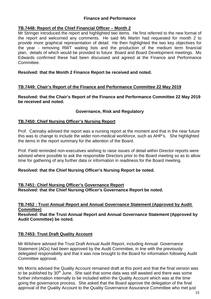## **Finance and Performance**

## **TB.7448: Report of the Chief Financial Officer – Month 2**

Mr Stringer introduced the report and highlighted two items. He first referred to the new format of the report and welcomed any comments. He said Ms Martin had requested for month 2 to provide more graphical representation of detail. He then highlighted the two key objectives for the year - removing RWT waiting lists and the production of the medium term financial plan, details of which would be provided to future Board and Board Development meetings. Ms Edwards confirmed these had been discussed and agreed at the Finance and Performance **Committee** 

## **Resolved: that the Month 2 Finance Report be received and noted.**

## **TB.7449: Chair's Report of the Finance and Performance Committee 22 May 2019**

**Resolved: that the Chair's Report of the Finance and Performance Committee 22 May 2019 be received and noted.**

## **Governance, Risk and Regulatory**

## **TB.7450: Chief Nursing Officer's Nursing Report**

Prof. Cannaby advised the report was a nursing report at the moment and that in the near future this was to change to include the wider non-medical workforce, such as AHP's. She highlighted the items in the report summary for the attention of the Board.

Prof. Field reminded non-executives wishing to raise issues of detail within Director reports were advised where possible to ask the responsible Directors prior to the Board meeting so as to allow time for gathering of any further data or information in readiness for the Board meeting.

## **Resolved: that the Chief Nursing Officer's Nursing Report be noted.**

## **TB.7451: Chief Nursing Officer's Governance Report Resolved: that the Chief Nursing Officer's Governance Report be noted.**

#### **TB.7452 : Trust Annual Report and Annual Governance Statement (Approved by Audit Committee) Resolved: that the Trust Annual Report and Annual Governance Statement (Approved by Audit Committee) be noted.**

## **TB.7453: Trust Draft Quality Account**

Mr Wilshere advised the Trust Draft Annual Audit Report, including Annual Governance Statement (AGs) had been approved by the Audit Committee, in line with the previously delegated responsibility and that it was now brought to the Board for information following Audit Committee approval.

Ms Morris advised the Quality Account remained draft at this point and that the final version was to be published by 30<sup>th</sup> June. She said that some data was still awaited and there was some further information internally to be included within the Quality Account which was at the time going the governance process. She asked that the Board approve the delegation of the final approval of the Quality Account to the Quality Governance Assurance Committee who met just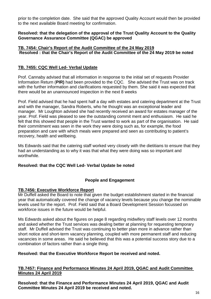prior to the completion date. She said that the approved Quality Account would then be provided to the next available Board meeting for confirmation.

## **Resolved: that the delegation of the approval of the Trust Quality Account to the Quality Governance Assurance Committee (QGAC) be approved**

## **TB. 7454: Chair's Report of the Audit Committee of the 24 May 2019 Resolved : that the Chair's Report of the Audit Committee of the 24 May 2019 be noted**

## **TB. 7455: CQC Well Led- Verbal Update**

Prof. Cannaby advised that all information in response to the initial set of requests Provider Information Return (**PIR)** had been provided to the CQC. She advised the Trust was on track with the further information and clarifications requested by them. She said it was expected that there would be an unannounced inspection in the next 8 weeks

Prof. Field advised that he had spent half a day with estates and catering department at the Trust and with the manager, Sandra Roberts, who he thought was an exceptional leader and manager. Mr Loughton advised she had recently received an award for estates manager of the year. Prof. Field was pleased to see the outstanding commit ment and enthusiasm. He said he felt that this showed that people in the Trust wanted to work as part of the organisation. He said their commitment was seen in the work they were doing such as, for example, the food preparation and care with which meals were prepared and seen as contributing to patient's recovery, health and wellbeing.

Ms Edwards said that the catering staff worked very closely with the dietitians to ensure that they had an understanding as to why it was that what they were doing was so important and worthwhile.

## **Resolved: that the CQC Well Led- Verbal Update be noted**

## **People and Engagement**

## **TB.7456: Executive Workforce Report**

Mr Duffell asked the Board to note that given the budget establishment started in the financial year that automatically covered the change of vacancy levels because you change the nominable levels used for the report. Prof. Field said that a Board Development Session focussed on workforce issues in the future would be helpful.

Ms Edwards asked about the figures on page 8 regarding midwifery staff levels over 12 months and asked whether the Trust services was dealing better at planning for requesting temporary staff. Mr Duffell advised the Trust was continuing to better plan more in advance rather than short notice and short-term vacancy planning, coupled with more permanent staff and reducing vacancies in some areas. He said he believed that this was a potential success story due to a combination of factors rather than a single thing.

## **Resolved: that the Executive Workforce Report be received and noted.**

## **TB.7457: Finance and Performance Minutes 24 April 2019, QGAC and Audit Committee Minutes 24 April 2019**

**Resolved: that the Finance and Performance Minutes 24 April 2019, QGAC and Audit Committee Minutes 24 April 2019 be received and noted.**